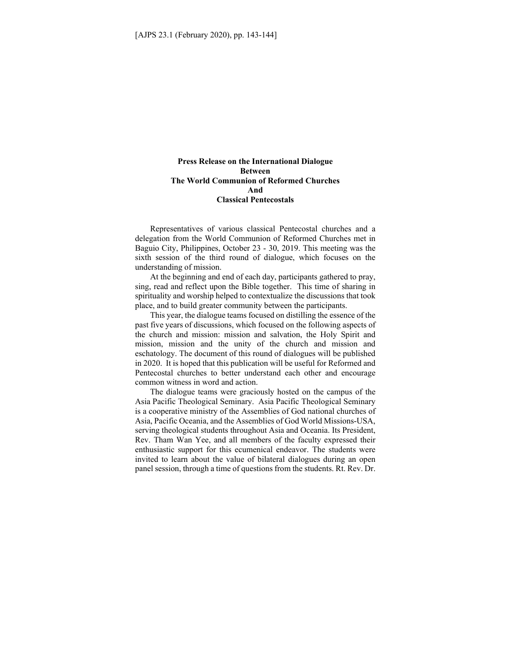## **Press Release on the International Dialogue Between The World Communion of Reformed Churches And Classical Pentecostals**

Representatives of various classical Pentecostal churches and a delegation from the World Communion of Reformed Churches met in Baguio City, Philippines, October 23 - 30, 2019. This meeting was the sixth session of the third round of dialogue, which focuses on the understanding of mission.

At the beginning and end of each day, participants gathered to pray, sing, read and reflect upon the Bible together. This time of sharing in spirituality and worship helped to contextualize the discussions that took place, and to build greater community between the participants.

This year, the dialogue teams focused on distilling the essence of the past five years of discussions, which focused on the following aspects of the church and mission: mission and salvation, the Holy Spirit and mission, mission and the unity of the church and mission and eschatology. The document of this round of dialogues will be published in 2020. It is hoped that this publication will be useful for Reformed and Pentecostal churches to better understand each other and encourage common witness in word and action.

The dialogue teams were graciously hosted on the campus of the Asia Pacific Theological Seminary. Asia Pacific Theological Seminary is a cooperative ministry of the Assemblies of God national churches of Asia, Pacific Oceania, and the Assemblies of God World Missions-USA, serving theological students throughout Asia and Oceania. Its President, Rev. Tham Wan Yee, and all members of the faculty expressed their enthusiastic support for this ecumenical endeavor. The students were invited to learn about the value of bilateral dialogues during an open panel session, through a time of questions from the students. Rt. Rev. Dr.